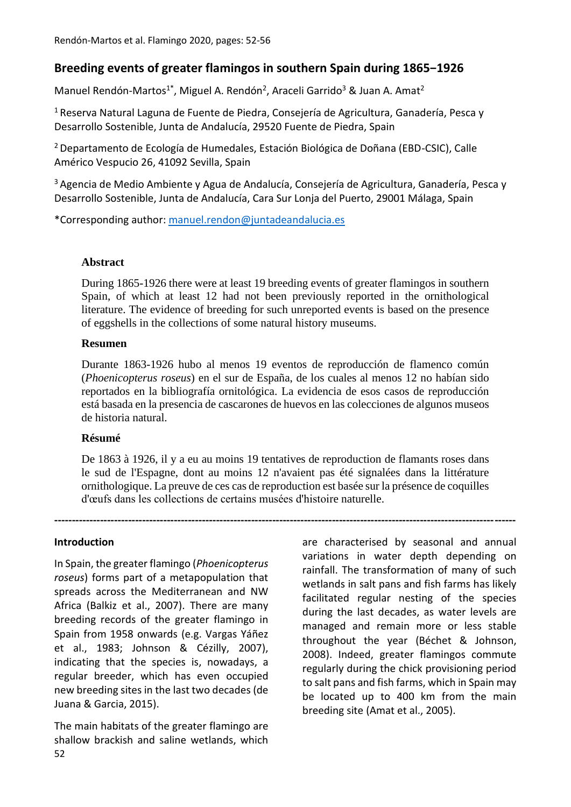# **Breeding events of greater flamingos in southern Spain during 1865−1926**

Manuel Rendón-Martos<sup>1\*</sup>, Miguel A. Rendón<sup>2</sup>, Araceli Garrido<sup>3</sup> & Juan A. Amat<sup>2</sup>

<sup>1</sup> Reserva Natural Laguna de Fuente de Piedra, Consejería de Agricultura, Ganadería, Pesca y Desarrollo Sostenible, Junta de Andalucía, 29520 Fuente de Piedra, Spain

<sup>2</sup>Departamento de Ecología de Humedales, Estación Biológica de Doñana (EBD-CSIC), Calle Américo Vespucio 26, 41092 Sevilla, Spain

<sup>3</sup> Agencia de Medio Ambiente y Agua de Andalucía, Consejería de Agricultura, Ganadería, Pesca y Desarrollo Sostenible, Junta de Andalucía, Cara Sur Lonja del Puerto, 29001 Málaga, Spain

\*Corresponding author: [manuel.rendon@juntadeandalucia.es](mailto:manuel.rendon@juntadeandalucia.es)

### **Abstract**

During 1865-1926 there were at least 19 breeding events of greater flamingos in southern Spain, of which at least 12 had not been previously reported in the ornithological literature. The evidence of breeding for such unreported events is based on the presence of eggshells in the collections of some natural history museums.

### **Resumen**

Durante 1863-1926 hubo al menos 19 eventos de reproducción de flamenco común (*Phoenicopterus roseus*) en el sur de España, de los cuales al menos 12 no habían sido reportados en la bibliografía ornitológica. La evidencia de esos casos de reproducción está basada en la presencia de cascarones de huevos en las colecciones de algunos museos de historia natural.

### **Résumé**

De 1863 à 1926, il y a eu au moins 19 tentatives de reproduction de flamants roses dans le sud de l'Espagne, dont au moins 12 n'avaient pas été signalées dans la littérature ornithologique. La preuve de ces cas de reproduction est basée sur la présence de coquilles d'œufs dans les collections de certains musées d'histoire naturelle.

**-----------------------------------------------------------------------------------------------------------------------------------**

#### **Introduction**

In Spain, the greater flamingo (*Phoenicopterus roseus*) forms part of a metapopulation that spreads across the Mediterranean and NW Africa (Balkiz et al., 2007). There are many breeding records of the greater flamingo in Spain from 1958 onwards (e.g. Vargas Yáñez et al., 1983; Johnson & Cézilly, 2007), indicating that the species is, nowadays, a regular breeder, which has even occupied new breeding sites in the last two decades (de Juana & Garcia, 2015).

52 The main habitats of the greater flamingo are shallow brackish and saline wetlands, which

are characterised by seasonal and annual variations in water depth depending on rainfall. The transformation of many of such wetlands in salt pans and fish farms has likely facilitated regular nesting of the species during the last decades, as water levels are managed and remain more or less stable throughout the year (Béchet & Johnson, 2008). Indeed, greater flamingos commute regularly during the chick provisioning period to salt pans and fish farms, which in Spain may be located up to 400 km from the main breeding site (Amat et al., 2005).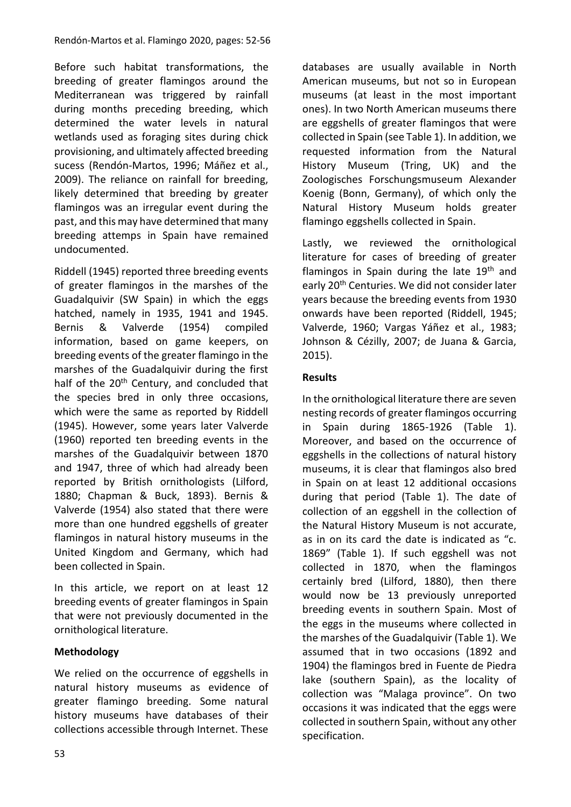Before such habitat transformations, the breeding of greater flamingos around the Mediterranean was triggered by rainfall during months preceding breeding, which determined the water levels in natural wetlands used as foraging sites during chick provisioning, and ultimately affected breeding sucess (Rendón-Martos, 1996; Máñez et al., 2009). The reliance on rainfall for breeding, likely determined that breeding by greater flamingos was an irregular event during the past, and this may have determined that many breeding attemps in Spain have remained undocumented.

Riddell (1945) reported three breeding events of greater flamingos in the marshes of the Guadalquivir (SW Spain) in which the eggs hatched, namely in 1935, 1941 and 1945. Bernis & Valverde (1954) compiled information, based on game keepers, on breeding events of the greater flamingo in the marshes of the Guadalquivir during the first half of the 20<sup>th</sup> Century, and concluded that the species bred in only three occasions, which were the same as reported by Riddell (1945). However, some years later Valverde (1960) reported ten breeding events in the marshes of the Guadalquivir between 1870 and 1947, three of which had already been reported by British ornithologists (Lilford, 1880; Chapman & Buck, 1893). Bernis & Valverde (1954) also stated that there were more than one hundred eggshells of greater flamingos in natural history museums in the United Kingdom and Germany, which had been collected in Spain.

In this article, we report on at least 12 breeding events of greater flamingos in Spain that were not previously documented in the ornithological literature.

## **Methodology**

We relied on the occurrence of eggshells in natural history museums as evidence of greater flamingo breeding. Some natural history museums have databases of their collections accessible through Internet. These databases are usually available in North American museums, but not so in European museums (at least in the most important ones). In two North American museums there are eggshells of greater flamingos that were collected in Spain (see Table 1). In addition, we requested information from the Natural History Museum (Tring, UK) and the Zoologisches Forschungsmuseum Alexander Koenig (Bonn, Germany), of which only the Natural History Museum holds greater flamingo eggshells collected in Spain.

Lastly, we reviewed the ornithological literature for cases of breeding of greater flamingos in Spain during the late  $19<sup>th</sup>$  and early 20<sup>th</sup> Centuries. We did not consider later years because the breeding events from 1930 onwards have been reported (Riddell, 1945; Valverde, 1960; Vargas Yáñez et al., 1983; Johnson & Cézilly, 2007; de Juana & Garcia, 2015).

## **Results**

In the ornithological literature there are seven nesting records of greater flamingos occurring in Spain during 1865-1926 (Table 1). Moreover, and based on the occurrence of eggshells in the collections of natural history museums, it is clear that flamingos also bred in Spain on at least 12 additional occasions during that period (Table 1). The date of collection of an eggshell in the collection of the Natural History Museum is not accurate, as in on its card the date is indicated as "c. 1869" (Table 1). If such eggshell was not collected in 1870, when the flamingos certainly bred (Lilford, 1880), then there would now be 13 previously unreported breeding events in southern Spain. Most of the eggs in the museums where collected in the marshes of the Guadalquivir (Table 1). We assumed that in two occasions (1892 and 1904) the flamingos bred in Fuente de Piedra lake (southern Spain), as the locality of collection was "Malaga province". On two occasions it was indicated that the eggs were collected in southern Spain, without any other specification.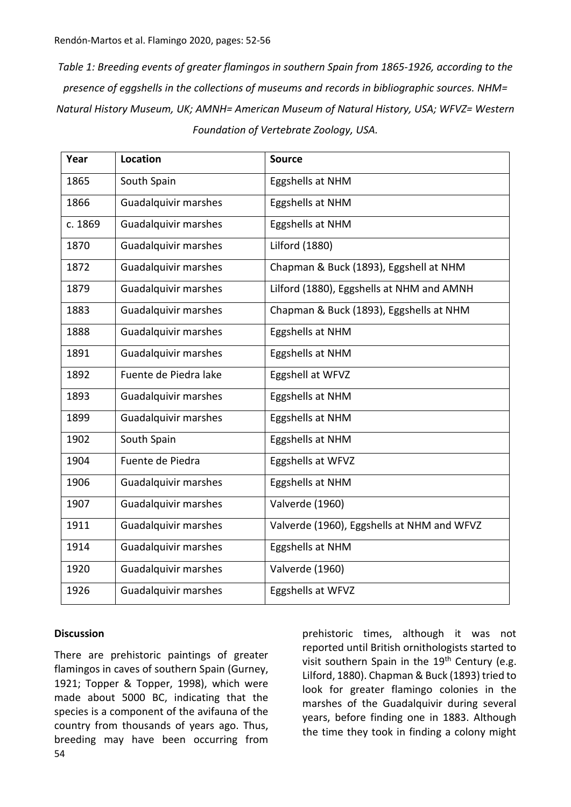*Table 1: Breeding events of greater flamingos in southern Spain from 1865-1926, according to the presence of eggshells in the collections of museums and records in bibliographic sources. NHM= Natural History Museum, UK; AMNH= American Museum of Natural History, USA; WFVZ= Western Foundation of Vertebrate Zoology, USA.*

| Year    | Location                    | <b>Source</b>                              |
|---------|-----------------------------|--------------------------------------------|
| 1865    | South Spain                 | Eggshells at NHM                           |
| 1866    | <b>Guadalquivir marshes</b> | Eggshells at NHM                           |
| c. 1869 | <b>Guadalquivir marshes</b> | Eggshells at NHM                           |
| 1870    | <b>Guadalquivir marshes</b> | <b>Lilford (1880)</b>                      |
| 1872    | <b>Guadalquivir marshes</b> | Chapman & Buck (1893), Eggshell at NHM     |
| 1879    | <b>Guadalquivir marshes</b> | Lilford (1880), Eggshells at NHM and AMNH  |
| 1883    | <b>Guadalquivir marshes</b> | Chapman & Buck (1893), Eggshells at NHM    |
| 1888    | <b>Guadalquivir marshes</b> | Eggshells at NHM                           |
| 1891    | <b>Guadalquivir marshes</b> | Eggshells at NHM                           |
| 1892    | Fuente de Piedra lake       | Eggshell at WFVZ                           |
| 1893    | Guadalquivir marshes        | Eggshells at NHM                           |
| 1899    | <b>Guadalquivir marshes</b> | Eggshells at NHM                           |
| 1902    | South Spain                 | Eggshells at NHM                           |
| 1904    | Fuente de Piedra            | Eggshells at WFVZ                          |
| 1906    | <b>Guadalquivir marshes</b> | Eggshells at NHM                           |
| 1907    | <b>Guadalquivir marshes</b> | Valverde (1960)                            |
| 1911    | <b>Guadalquivir marshes</b> | Valverde (1960), Eggshells at NHM and WFVZ |
| 1914    | <b>Guadalquivir marshes</b> | Eggshells at NHM                           |
| 1920    | <b>Guadalquivir marshes</b> | Valverde (1960)                            |
| 1926    | Guadalquivir marshes        | Eggshells at WFVZ                          |

## **Discussion**

54 There are prehistoric paintings of greater flamingos in caves of southern Spain (Gurney, 1921; Topper & Topper, 1998), which were made about 5000 BC, indicating that the species is a component of the avifauna of the country from thousands of years ago. Thus, breeding may have been occurring from prehistoric times, although it was not reported until British ornithologists started to visit southern Spain in the 19<sup>th</sup> Century (e.g. Lilford, 1880). Chapman & Buck (1893) tried to look for greater flamingo colonies in the marshes of the Guadalquivir during several years, before finding one in 1883. Although the time they took in finding a colony might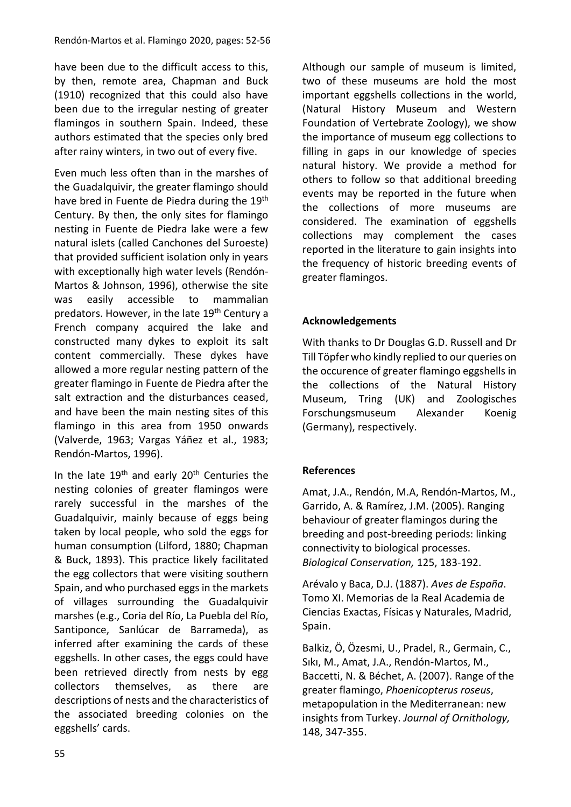have been due to the difficult access to this, by then, remote area, Chapman and Buck (1910) recognized that this could also have been due to the irregular nesting of greater flamingos in southern Spain. Indeed, these authors estimated that the species only bred after rainy winters, in two out of every five.

Even much less often than in the marshes of the Guadalquivir, the greater flamingo should have bred in Fuente de Piedra during the 19<sup>th</sup> Century. By then, the only sites for flamingo nesting in Fuente de Piedra lake were a few natural islets (called Canchones del Suroeste) that provided sufficient isolation only in years with exceptionally high water levels (Rendón-Martos & Johnson, 1996), otherwise the site was easily accessible to mammalian predators. However, in the late 19<sup>th</sup> Century a French company acquired the lake and constructed many dykes to exploit its salt content commercially. These dykes have allowed a more regular nesting pattern of the greater flamingo in Fuente de Piedra after the salt extraction and the disturbances ceased, and have been the main nesting sites of this flamingo in this area from 1950 onwards (Valverde, 1963; Vargas Yáñez et al., 1983; Rendón-Martos, 1996).

In the late  $19<sup>th</sup>$  and early  $20<sup>th</sup>$  Centuries the nesting colonies of greater flamingos were rarely successful in the marshes of the Guadalquivir, mainly because of eggs being taken by local people, who sold the eggs for human consumption (Lilford, 1880; Chapman & Buck, 1893). This practice likely facilitated the egg collectors that were visiting southern Spain, and who purchased eggs in the markets of villages surrounding the Guadalquivir marshes (e.g., Coria del Río, La Puebla del Río, Santiponce, Sanlúcar de Barrameda), as inferred after examining the cards of these eggshells. In other cases, the eggs could have been retrieved directly from nests by egg collectors themselves, as there are descriptions of nests and the characteristics of the associated breeding colonies on the eggshells' cards.

Although our sample of museum is limited, two of these museums are hold the most important eggshells collections in the world, (Natural History Museum and Western Foundation of Vertebrate Zoology), we show the importance of museum egg collections to filling in gaps in our knowledge of species natural history. We provide a method for others to follow so that additional breeding events may be reported in the future when the collections of more museums are considered. The examination of eggshells collections may complement the cases reported in the literature to gain insights into the frequency of historic breeding events of greater flamingos.

# **Acknowledgements**

With thanks to Dr Douglas G.D. Russell and Dr Till Töpfer who kindly replied to our queries on the occurence of greater flamingo eggshells in the collections of the Natural History Museum, Tring (UK) and Zoologisches Forschungsmuseum Alexander Koenig (Germany), respectively.

# **References**

Amat, J.A., Rendón, M.A, Rendón-Martos, M., Garrido, A. & Ramírez, J.M. (2005). Ranging behaviour of greater flamingos during the breeding and post-breeding periods: linking connectivity to biological processes. *Biological Conservation,* 125, 183-192.

Arévalo y Baca, D.J. (1887). *Aves de España*. Tomo XI. Memorias de la Real Academia de Ciencias Exactas, Físicas y Naturales, Madrid, Spain.

Balkiz, Ö, Özesmi, U., Pradel, R., Germain, C., Sıkı, M., Amat, J.A., Rendón-Martos, M., Baccetti, N. & Béchet, A. (2007). Range of the greater flamingo, *Phoenicopterus roseus*, metapopulation in the Mediterranean: new insights from Turkey. *Journal of Ornithology,* 148, 347-355.